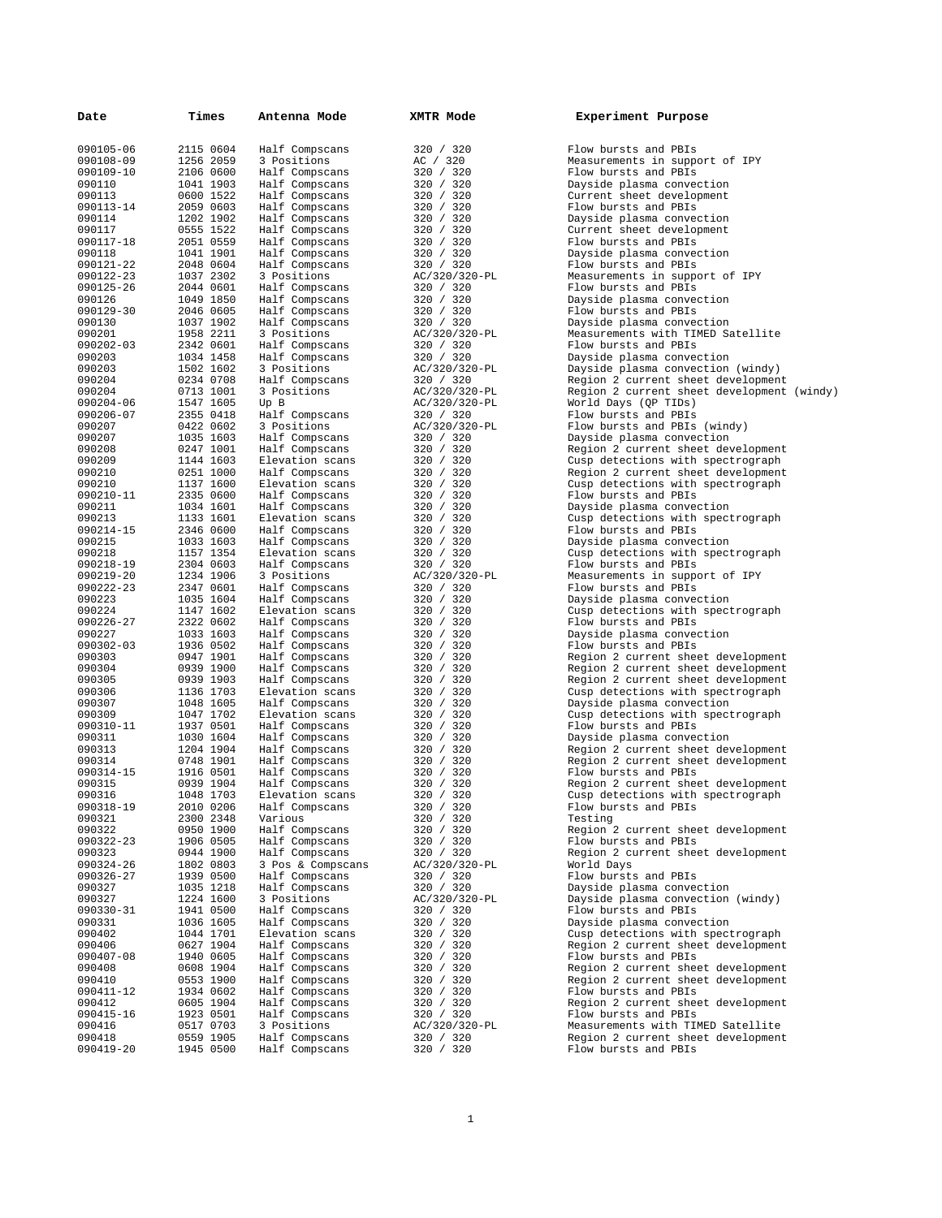| Date                   | Times                  | Antenna Mode                      | XMTR Mode                  | Experiment Purpose                                                      |
|------------------------|------------------------|-----------------------------------|----------------------------|-------------------------------------------------------------------------|
|                        |                        |                                   |                            |                                                                         |
| 090105-06              | 2115 0604              | Half Compscans                    | 320 / 320                  | Flow bursts and PBIs                                                    |
| 090108-09              | 1256 2059              | 3 Positions                       | AC / 320                   | Measurements in support of IPY                                          |
| 090109-10              | 2106 0600              | Half Compscans                    | 320 / 320                  | Flow bursts and PBIs                                                    |
| 090110                 | 1041 1903              | Half Compscans                    | 320 / 320                  | Dayside plasma convection                                               |
| 090113                 | 0600 1522              | Half Compscans                    | 320 / 320                  | Current sheet development                                               |
| 090113-14              | 2059 0603              | Half Compscans                    | 320 / 320                  | Flow bursts and PBIs                                                    |
| 090114                 | 1202 1902              | Half Compscans                    | 320 / 320                  | Dayside plasma convection                                               |
| 090117                 | 0555 1522              | Half Compscans                    | 320 / 320                  | Current sheet development                                               |
| 090117-18              | 2051 0559              | Half Compscans                    | 320 / 320                  | Flow bursts and PBIs                                                    |
| 090118                 | 1041 1901              | Half Compscans                    | 320 / 320                  | Dayside plasma convection                                               |
| 090121-22              | 2048 0604              | Half Compscans                    | 320 / 320<br>AC/320/320-PL | Flow bursts and PBIs                                                    |
| 090122-23<br>090125-26 | 1037 2302<br>2044 0601 | 3 Positions<br>Half Compscans     | 320 / 320                  | Measurements in support of IPY<br>Flow bursts and PBIs                  |
| 090126                 | 1049 1850              | Half Compscans                    | 320 / 320                  | Dayside plasma convection                                               |
| 090129-30              | 2046 0605              | Half Compscans                    | 320 / 320                  | Flow bursts and PBIs                                                    |
| 090130                 | 1037 1902              | Half Compscans                    | 320 / 320                  | Dayside plasma convection                                               |
| 090201                 | 1958 2211              | 3 Positions                       | AC/320/320-PL              | Measurements with TIMED Satellite                                       |
| 090202-03              | 2342 0601              | Half Compscans                    | 320 / 320                  | Flow bursts and PBIs                                                    |
| 090203                 | 1034 1458              | Half Compscans                    | 320 / 320                  | Dayside plasma convection                                               |
| 090203                 | 1502 1602              | 3 Positions                       | AC/320/320-PL              | Dayside plasma convection (windy)                                       |
| 090204                 | 0234 0708              | Half Compscans                    | 320 / 320                  | Region 2 current sheet development                                      |
| 090204                 | 0713 1001              | 3 Positions                       | AC/320/320-PL              | Region 2 current sheet development (windy)                              |
| 090204-06              | 1547 1605              | Up B                              | AC/320/320-PL              | World Days (QP TIDs)                                                    |
| 090206-07              | 2355 0418              | Half Compscans                    | 320 / 320                  | Flow bursts and PBIs                                                    |
| 090207                 | 0422 0602              | 3 Positions                       | AC/320/320-PL              | Flow bursts and PBIs (windy)                                            |
| 090207                 | 1035 1603              | Half Compscans                    | 320 / 320                  | Dayside plasma convection                                               |
| 090208                 | 0247 1001              | Half Compscans                    | 320 / 320                  | Region 2 current sheet development                                      |
| 090209                 | 1144 1603              | Elevation scans                   | 320 / 320                  | Cusp detections with spectrograph                                       |
| 090210                 | 0251 1000              | Half Compscans                    | 320 / 320                  | Region 2 current sheet development                                      |
| 090210                 | 1137 1600              | Elevation scans                   | 320 / 320                  | Cusp detections with spectrograph                                       |
| 090210-11              | 2335 0600              | Half Compscans<br>Half Compscans  | 320 / 320                  | Flow bursts and PBIs<br>Dayside plasma convection                       |
| 090211<br>090213       | 1034 1601<br>1133 1601 | Elevation scans                   | 320 / 320<br>320 / 320     | Cusp detections with spectrograph                                       |
| 090214-15              | 2346 0600              | Half Compscans                    | 320 / 320                  | Flow bursts and PBIs                                                    |
| 090215                 | 1033 1603              | Half Compscans                    | 320 / 320                  | Dayside plasma convection                                               |
| 090218                 | 1157 1354              | Elevation scans                   | 320 / 320                  | Cusp detections with spectrograph                                       |
| 090218-19              | 2304 0603              | Half Compscans                    | 320 / 320                  | Flow bursts and PBIs                                                    |
| 090219-20              | 1234 1906              | 3 Positions                       | AC/320/320-PL              | Measurements in support of IPY                                          |
| 090222-23              | 2347 0601              | Half Compscans                    | 320 / 320                  | Flow bursts and PBIs                                                    |
| 090223                 | 1035 1604              | Half Compscans                    | 320 / 320                  | Dayside plasma convection                                               |
| 090224                 | 1147 1602              | Elevation scans                   | 320 / 320                  | Cusp detections with spectrograph                                       |
| 090226-27              | 2322 0602              | Half Compscans                    | 320 / 320                  | Flow bursts and PBIs                                                    |
| 090227                 | 1033 1603              | Half Compscans                    | 320 / 320                  | Dayside plasma convection                                               |
| 090302-03              | 1936 0502              | Half Compscans                    | 320 / 320                  | Flow bursts and PBIs                                                    |
| 090303                 | 0947 1901              | Half Compscans                    | 320 / 320                  | Region 2 current sheet development                                      |
| 090304                 | 0939 1900              | Half Compscans                    | 320 / 320                  | Region 2 current sheet development                                      |
| 090305                 | 0939 1903              | Half Compscans                    | 320 / 320                  | Region 2 current sheet development                                      |
| 090306                 | 1136 1703              | Elevation scans                   | 320 / 320                  | Cusp detections with spectrograph                                       |
| 090307                 | 1048 1605<br>1047 1702 | Half Compscans                    | 320 / 320                  | Dayside plasma convection                                               |
| 090309                 | 1937 0501              | Elevation scans                   | 320 / 320<br>320 / 320     | Cusp detections with spectrograph<br>Flow bursts and PBIs               |
| 090310-11<br>090311    | 1030 1604              | Half Compscans<br>Half Compscans  | 320 / 320                  | Dayside plasma convection                                               |
| 090313                 | 1204 1904              | Half Compscans                    | 320 / 320                  | Region 2 current sheet development                                      |
| 090314                 | 0748 1901              | Half Compscans                    | 320 / 320                  | Region 2 current sheet development                                      |
| 090314-15              | 1916 0501              | Half Compscans                    | 320 / 320                  | Flow bursts and PBIs                                                    |
| 090315                 | 0939 1904              | Half Compscans                    | 320 / 320                  | Region 2 current sheet development                                      |
| 090316                 | 1048 1703              | Elevation scans                   | 320 / 320                  | Cusp detections with spectrograph                                       |
| 090318-19              | 2010 0206              | Half Compscans                    | 320 / 320                  | Flow bursts and PBIs                                                    |
| 090321                 | 2300 2348              | Various                           | 320 / 320                  | Testing                                                                 |
| 090322                 | 0950 1900              | Half Compscans                    | 320 / 320                  | Region 2 current sheet development                                      |
| 090322-23              | 1906 0505              | Half Compscans                    | 320 / 320                  | Flow bursts and PBIs                                                    |
| 090323                 | 0944 1900              | Half Compscans                    | 320 / 320                  | Region 2 current sheet development                                      |
| 090324-26              | 1802 0803              | 3 Pos & Compscans                 | AC/320/320-PL              | World Days                                                              |
| 090326-27              | 1939 0500              | Half Compscans                    | 320 / 320                  | Flow bursts and PBIs                                                    |
| 090327                 | 1035 1218              | Half Compscans                    | 320 / 320                  | Dayside plasma convection                                               |
| 090327                 | 1224 1600              | 3 Positions                       | AC/320/320-PL              | Dayside plasma convection (windy)                                       |
| 090330-31              | 1941 0500              | Half Compscans                    | 320 / 320                  | Flow bursts and PBIs                                                    |
| 090331                 | 1036 1605              | Half Compscans                    | 320 / 320                  | Dayside plasma convection                                               |
| 090402<br>090406       | 1044 1701<br>0627 1904 | Elevation scans<br>Half Compscans | 320 / 320<br>320 / 320     | Cusp detections with spectrograph<br>Region 2 current sheet development |
| 090407-08              | 1940 0605              | Half Compscans                    | 320 / 320                  | Flow bursts and PBIs                                                    |
| 090408                 | 0608 1904              | Half Compscans                    | 320 / 320                  | Region 2 current sheet development                                      |
| 090410                 | 0553 1900              | Half Compscans                    | 320 / 320                  | Region 2 current sheet development                                      |
| 090411-12              | 1934 0602              | Half Compscans                    | 320 / 320                  | Flow bursts and PBIs                                                    |
| 090412                 | 0605 1904              | Half Compscans                    | 320 / 320                  | Region 2 current sheet development                                      |
| 090415-16              | 1923 0501              | Half Compscans                    | 320 / 320                  | Flow bursts and PBIs                                                    |
| 090416                 | 0517 0703              | 3 Positions                       | AC/320/320-PL              | Measurements with TIMED Satellite                                       |
| 090418                 | 0559 1905              | Half Compscans                    | 320 / 320                  | Region 2 current sheet development                                      |
| 090419-20              | 1945 0500              | Half Compscans                    | 320 / 320                  | Flow bursts and PBIs                                                    |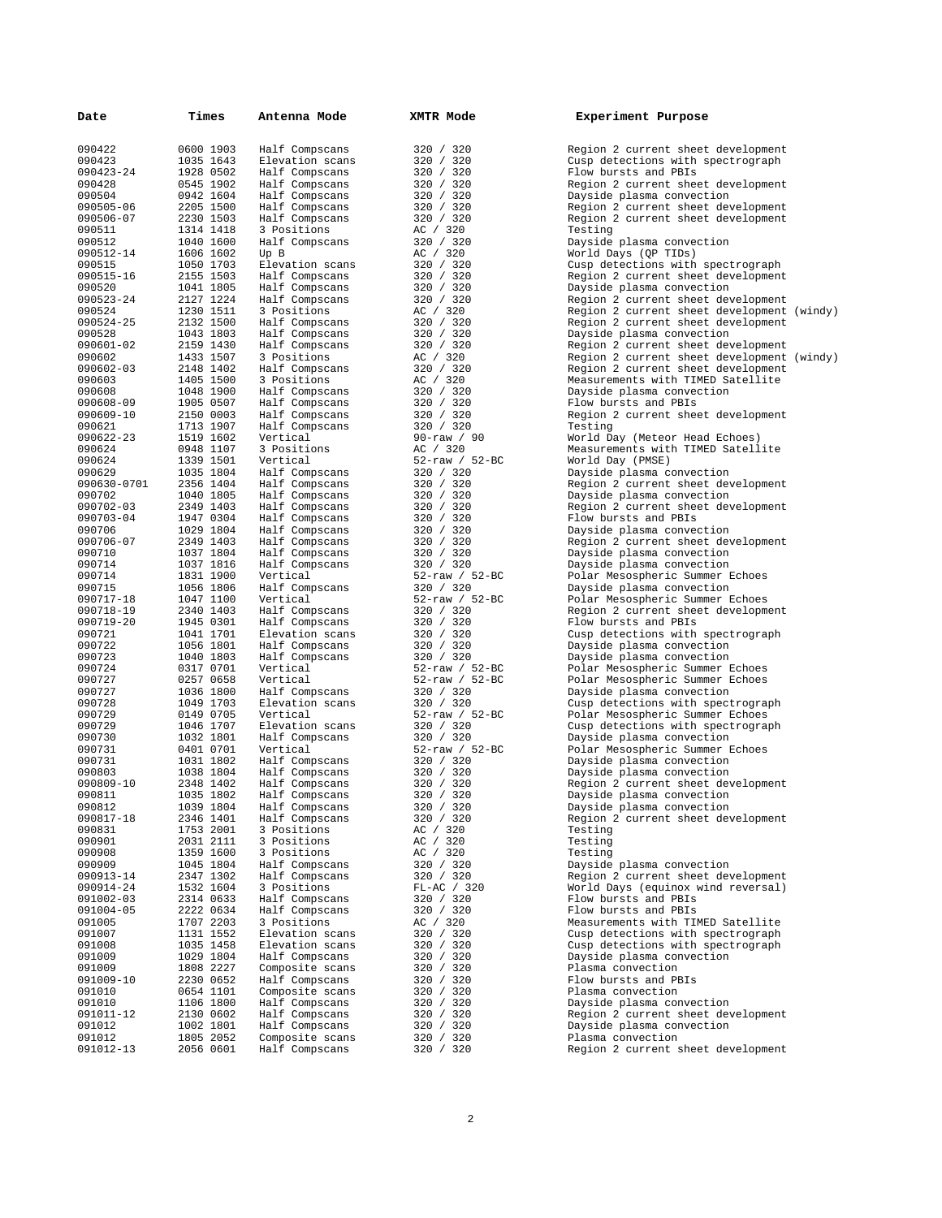| Date                | Times                  | Antenna Mode                      | XMTR Mode                         | Experiment Purpose                                              |
|---------------------|------------------------|-----------------------------------|-----------------------------------|-----------------------------------------------------------------|
| 090422              | 0600 1903              | Half Compscans                    | 320 / 320                         | Region 2 current sheet development                              |
| 090423              | 1035 1643              | Elevation scans                   | 320 / 320                         | Cusp detections with spectrograph                               |
| 090423-24           | 1928 0502              | Half Compscans                    | 320 / 320                         | Flow bursts and PBIs                                            |
| 090428<br>090504    | 0545 1902<br>0942 1604 | Half Compscans<br>Half Compscans  | 320 / 320<br>320 / 320            | Region 2 current sheet development                              |
| 090505-06           | 2205 1500              | Half Compscans                    | 320 / 320                         | Dayside plasma convection<br>Region 2 current sheet development |
| 090506-07           | 2230 1503              | Half Compscans                    | 320 / 320                         | Region 2 current sheet development                              |
| 090511              | 1314 1418              | 3 Positions                       | AC / 320                          | Testing                                                         |
| 090512              | 1040 1600              | Half Compscans                    | 320 / 320                         | Dayside plasma convection                                       |
| 090512-14<br>090515 | 1606 1602<br>1050 1703 | Up B<br>Elevation scans           | AC / 320<br>320 / 320             | World Days (QP TIDs)<br>Cusp detections with spectrograph       |
| 090515-16           | 2155 1503              | Half Compscans                    | 320 / 320                         | Region 2 current sheet development                              |
| 090520              | 1041 1805              | Half Compscans                    | 320 / 320                         | Dayside plasma convection                                       |
| 090523-24           | 2127 1224              | Half Compscans                    | 320 / 320                         | Region 2 current sheet development                              |
| 090524<br>090524-25 | 1230 1511<br>2132 1500 | 3 Positions                       | AC / 320<br>320 / 320             | Region 2 current sheet development (windy)                      |
| 090528              | 1043 1803              | Half Compscans<br>Half Compscans  | 320 / 320                         | Region 2 current sheet development<br>Dayside plasma convection |
| 090601-02           | 2159 1430              | Half Compscans                    | 320 / 320                         | Region 2 current sheet development                              |
| 090602              | 1433 1507              | 3 Positions                       | AC / 320                          | Region 2 current sheet development (windy)                      |
| 090602-03           | 2148 1402              | Half Compscans                    | 320 / 320                         | Region 2 current sheet development                              |
| 090603<br>090608    | 1405 1500<br>1048 1900 | 3 Positions<br>Half Compscans     | AC / 320<br>320 / 320             | Measurements with TIMED Satellite<br>Dayside plasma convection  |
| 090608-09           | 1905 0507              | Half Compscans                    | 320 / 320                         | Flow bursts and PBIs                                            |
| 090609-10           | 2150 0003              | Half Compscans                    | 320 / 320                         | Region 2 current sheet development                              |
| 090621              | 1713 1907              | Half Compscans                    | 320 / 320                         | Testing                                                         |
| 090622-23           | 1519 1602              | Vertical                          | $90 - raw / 90$                   | World Day (Meteor Head Echoes)                                  |
| 090624              | 0948 1107              | 3 Positions                       | AC / 320                          | Measurements with TIMED Satellite                               |
| 090624<br>090629    | 1339 1501<br>1035 1804 | Vertical<br>Half Compscans        | $52 - raw / 52 - BC$<br>320 / 320 | World Day (PMSE)<br>Dayside plasma convection                   |
| 090630-0701         | 2356 1404              | Half Compscans                    | 320 / 320                         | Region 2 current sheet development                              |
| 090702              | 1040 1805              | Half Compscans                    | 320 / 320                         | Dayside plasma convection                                       |
| 090702-03           | 2349 1403              | Half Compscans                    | 320 / 320                         | Region 2 current sheet development                              |
| 090703-04           | 1947 0304              | Half Compscans                    | 320 / 320                         | Flow bursts and PBIs                                            |
| 090706              | 1029 1804              | Half Compscans                    | 320 / 320                         | Dayside plasma convection                                       |
| 090706-07<br>090710 | 2349 1403<br>1037 1804 | Half Compscans<br>Half Compscans  | 320 / 320<br>320 / 320            | Region 2 current sheet development<br>Dayside plasma convection |
| 090714              | 1037 1816              | Half Compscans                    | 320 / 320                         | Dayside plasma convection                                       |
| 090714              | 1831 1900              | Vertical                          | $52 - raw / 52 - BC$              | Polar Mesospheric Summer Echoes                                 |
| 090715              | 1056 1806              | Half Compscans                    | 320 / 320                         | Dayside plasma convection                                       |
| 090717-18           | 1047 1100              | Vertical                          | $52 - raw / 52 - BC$              | Polar Mesospheric Summer Echoes                                 |
| 090718-19           | 2340 1403              | Half Compscans                    | 320 / 320                         | Region 2 current sheet development                              |
| 090719-20<br>090721 | 1945 0301<br>1041 1701 | Half Compscans<br>Elevation scans | 320 / 320<br>320 / 320            | Flow bursts and PBIs<br>Cusp detections with spectrograph       |
| 090722              | 1056 1801              | Half Compscans                    | 320 / 320                         | Dayside plasma convection                                       |
| 090723              | 1040 1803              | Half Compscans                    | 320 / 320                         | Dayside plasma convection                                       |
| 090724              | 0317 0701              | Vertical                          | $52 - raw / 52 - BC$              | Polar Mesospheric Summer Echoes                                 |
| 090727              | 0257 0658              | Vertical                          | 52-raw / 52-BC                    | Polar Mesospheric Summer Echoes                                 |
| 090727<br>090728    | 1036 1800<br>1049 1703 | Half Compscans<br>Elevation scans | 320 / 320<br>320 / 320            | Dayside plasma convection<br>Cusp detections with spectrograph  |
| 090729              | 0149 0705              | Vertical                          | $52 - raw / 52 - BC$              | Polar Mesospheric Summer Echoes                                 |
| 090729              | 1046 1707              | Elevation scans                   | 320 / 320                         | Cusp detections with spectrograph                               |
| 090730              | 1032 1801              | Half Compscans                    | 320 / 320                         | Dayside plasma convection                                       |
| 090731              | 0401 0701              | Vertical                          | $52 - raw / 52 - BC$              | Polar Mesospheric Summer Echoes                                 |
| 090731<br>090803    | 1031 1802<br>1038 1804 | Half Compscans<br>Half Compscans  | 320 / 320                         | Dayside plasma convection                                       |
| 090809-10           | 2348 1402              | Half Compscans                    | 320 / 320<br>320 / 320            | Dayside plasma convection<br>Region 2 current sheet development |
| 090811              | 1035 1802              | Half Compscans                    | 320 / 320                         | Dayside plasma convection                                       |
| 090812              | 1039 1804              | Half Compscans                    | 320 / 320                         | Dayside plasma convection                                       |
| 090817-18           | 2346 1401              | Half Compscans                    | 320 / 320                         | Region 2 current sheet development                              |
| 090831              | 1753 2001              | 3 Positions                       | AC / 320                          | Testing                                                         |
| 090901<br>090908    | 2031 2111<br>1359 1600 | 3 Positions<br>3 Positions        | AC / 320<br>AC / 320              | Testing<br>Testing                                              |
| 090909              | 1045 1804              | Half Compscans                    | 320 / 320                         | Dayside plasma convection                                       |
| 090913-14           | 2347 1302              | Half Compscans                    | 320 / 320                         | Region 2 current sheet development                              |
| 090914-24           | 1532 1604              | 3 Positions                       | FL-AC / 320                       | World Days (equinox wind reversal)                              |
| 091002-03           | 2314 0633              | Half Compscans                    | 320 / 320                         | Flow bursts and PBIs                                            |
| 091004-05           | 2222 0634              | Half Compscans                    | 320 / 320                         | Flow bursts and PBIs<br>Measurements with TIMED Satellite       |
| 091005<br>091007    | 1707 2203<br>1131 1552 | 3 Positions<br>Elevation scans    | AC / 320<br>320 / 320             | Cusp detections with spectrograph                               |
| 091008              | 1035 1458              | Elevation scans                   | 320 / 320                         | Cusp detections with spectrograph                               |
| 091009              | 1029 1804              | Half Compscans                    | 320 / 320                         | Dayside plasma convection                                       |
| 091009              | 1808 2227              | Composite scans                   | 320 / 320                         | Plasma convection                                               |
| 091009-10           | 2230 0652              | Half Compscans                    | 320 / 320                         | Flow bursts and PBIs                                            |
| 091010<br>091010    | 0654 1101<br>1106 1800 | Composite scans<br>Half Compscans | 320 / 320<br>320 / 320            | Plasma convection<br>Dayside plasma convection                  |
| 091011-12           | 2130 0602              | Half Compscans                    | 320 / 320                         | Region 2 current sheet development                              |
| 091012              | 1002 1801              | Half Compscans                    | 320 / 320                         | Dayside plasma convection                                       |
| 091012              | 1805 2052              | Composite scans                   | 320 / 320                         | Plasma convection                                               |
| 091012-13           | 2056 0601              | Half Compscans                    | 320 / 320                         | Region 2 current sheet development                              |

| Region 2 current sheet development |     |
|------------------------------------|-----|
| Cusp detections with spectrograph  |     |
| Flow bursts and PBIs               |     |
|                                    |     |
| Region 2 current sheet development |     |
| Dayside plasma convection          |     |
|                                    |     |
| Region 2 current sheet development |     |
| Region 2 current sheet development |     |
| Testing                            |     |
|                                    |     |
| Dayside plasma convection          |     |
| World Days (QP TIDs)               |     |
| Cusp detections with spectrograph  |     |
|                                    |     |
| Region 2 current sheet development |     |
| Dayside plasma convection          |     |
|                                    |     |
| Region 2 current sheet development |     |
| Region 2 current sheet development | (wi |
| Region 2 current sheet development |     |
|                                    |     |
| Dayside plasma convection          |     |
| Region 2 current sheet development |     |
| Region 2 current sheet development | (wi |
|                                    |     |
| Region 2 current sheet development |     |
| Measurements with TIMED Satellite  |     |
| Dayside plasma convection          |     |
|                                    |     |
| Flow bursts and PBIs               |     |
| Region 2 current sheet development |     |
| Testing                            |     |
|                                    |     |
| World Day (Meteor Head Echoes)     |     |
| Measurements with TIMED Satellite  |     |
| World Day (PMSE)                   |     |
|                                    |     |
| Dayside plasma convection          |     |
| Region 2 current sheet development |     |
|                                    |     |
| Dayside plasma convection          |     |
| Region 2 current sheet development |     |
| Flow bursts and PBIs               |     |
|                                    |     |
| Dayside plasma convection          |     |
| Region 2 current sheet development |     |
| Dayside plasma convection          |     |
|                                    |     |
| Dayside plasma convection          |     |
| Polar Mesospheric Summer Echoes    |     |
| Dayside plasma convection          |     |
|                                    |     |
|                                    |     |
| Polar Mesospheric Summer Echoes    |     |
|                                    |     |
| Region 2 current sheet development |     |
| Flow bursts and PBIs               |     |
| Cusp detections with spectrograph  |     |
|                                    |     |
| Dayside plasma convection          |     |
| Dayside plasma convection          |     |
| Polar Mesospheric Summer Echoes    |     |
|                                    |     |
| Polar Mesospheric Summer Echoes    |     |
| Dayside plasma convection          |     |
| Cusp detections with spectrograph  |     |
|                                    |     |
| Polar Mesospheric Summer Echoes    |     |
| Cusp detections with spectrograph  |     |
| Dayside plasma convection          |     |
|                                    |     |
| Polar Mesospheric Summer Echoes    |     |
| Dayside plasma convection          |     |
| Dayside plasma convection          |     |
|                                    |     |
| Region 2 current sheet development |     |
| Dayside plasma convection          |     |
|                                    |     |
| Dayside plasma convection          |     |
| Region 2 current sheet development |     |
| Testing                            |     |
| Testing                            |     |
|                                    |     |
| Testing                            |     |
| Dayside plasma convection          |     |
| Region 2 current sheet development |     |
|                                    |     |
| World Days (equinox wind reversal) |     |
| Flow bursts and PBIs               |     |
| Flow bursts and PBIs               |     |
|                                    |     |
| Measurements with TIMED Satellite  |     |
| Cusp detections with spectrograph  |     |
| Cusp detections with spectrograph  |     |
|                                    |     |
| Dayside plasma convection          |     |
| Plasma convection                  |     |
| Flow bursts and PBIs               |     |
|                                    |     |
| Plasma convection                  |     |
| Dayside plasma convection          |     |
| Region 2 current sheet development |     |
| Dayside plasma convection          |     |